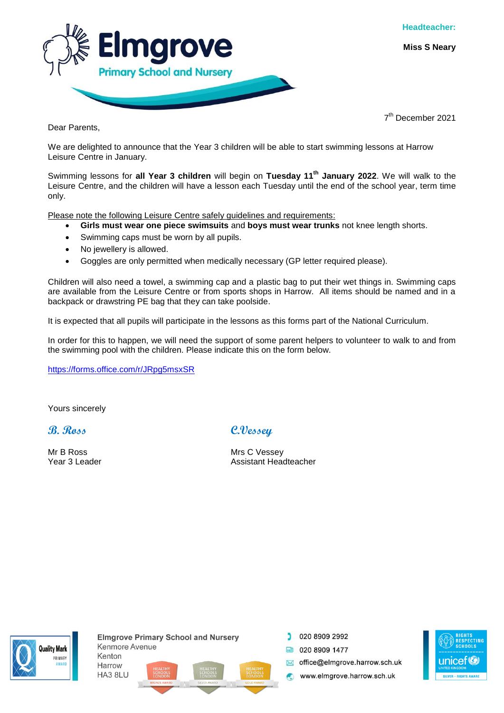

**Miss S Neary**

7<sup>th</sup> December 2021

Dear Parents,

We are delighted to announce that the Year 3 children will be able to start swimming lessons at Harrow Leisure Centre in January.

Swimming lessons for **all Year 3 children** will begin on **Tuesday 11th January 2022**. We will walk to the Leisure Centre, and the children will have a lesson each Tuesday until the end of the school year, term time only.

Please note the following Leisure Centre safely guidelines and requirements:

- **Girls must wear one piece swimsuits** and **boys must wear trunks** not knee length shorts.
- Swimming caps must be worn by all pupils.
- No jewellery is allowed.
- Goggles are only permitted when medically necessary (GP letter required please).

Children will also need a towel, a swimming cap and a plastic bag to put their wet things in. Swimming caps are available from the Leisure Centre or from sports shops in Harrow. All items should be named and in a backpack or drawstring PE bag that they can take poolside.

It is expected that all pupils will participate in the lessons as this forms part of the National Curriculum.

In order for this to happen, we will need the support of some parent helpers to volunteer to walk to and from the swimming pool with the children. Please indicate this on the form below.

<https://forms.office.com/r/JRpg5msxSR>

Yours sincerely

Mr B Ross Mrs C Vessey

**B. Ross C.Vessey**

Assistant Headteacher



**Elmarove Primary School and Nursery** Kenmore Avenue Kenton Harrow HA3 8LU



⊔nicef∖